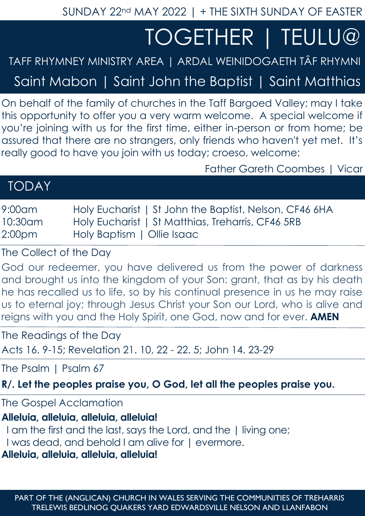SUNDAY 22nd MAY 2022 | + THE SIXTH SUNDAY OF EASTER

# TOGETHER | TEULU@

## TAFF RHYMNEY MINISTRY AREA | ARDAL WEINIDOGAETH TÂF RHYMNI

Saint Mabon | Saint John the Baptist | Saint Matthias

On behalf of the family of churches in the Taff Bargoed Valley; may I take this opportunity to offer you a very warm welcome. A special welcome if you're joining with us for the first time, either in-person or from home; be assured that there are no strangers, only friends who haven't yet met. It's really good to have you join with us today; croeso, welcome:

Father Gareth Coombes | Vicar

| <b>TODAY</b> |  |  |
|--------------|--|--|
|              |  |  |

| 9:00am  | Holy Eucharist   St John the Baptist, Nelson, CF46 6HA |
|---------|--------------------------------------------------------|
| 10:30am | Holy Eucharist   St Matthias, Treharris, CF46 5RB      |
| 2:00pm  | Holy Baptism   Ollie Isaac                             |

The Collect of the Day

God our redeemer, you have delivered us from the power of darkness and brought us into the kingdom of your Son: grant, that as by his death he has recalled us to life, so by his continual presence in us he may raise us to eternal joy; through Jesus Christ your Son our Lord, who is alive and reigns with you and the Holy Spirit, one God, now and for ever. **AMEN**

The Readings of the Day Acts 16. 9-15; Revelation 21. 10, 22 - 22. 5; John 14. 23-29

The Psalm | Psalm 67

**R/. Let the peoples praise you, O God, let all the peoples praise you.**

The Gospel Acclamation

**Alleluia, alleluia, alleluia, alleluia!**

I am the first and the last, says the Lord, and the | living one;

I was dead, and behold I am alive for | evermore.

**Alleluia, alleluia, alleluia, alleluia!**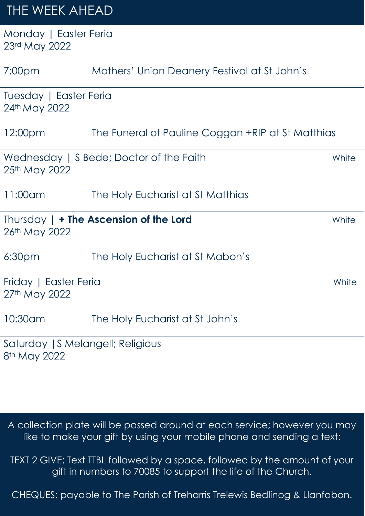# THE WEEK AHEAD

Monday | Easter Feria 23rd May 2022

| 7:00 <sub>pm</sub>                                            | Mothers' Union Deanery Festival at St John's      |       |  |
|---------------------------------------------------------------|---------------------------------------------------|-------|--|
| Tuesday   Easter Feria<br>24th May 2022                       |                                                   |       |  |
| 12:00 <sub>pm</sub>                                           | The Funeral of Pauline Coggan +RIP at St Matthias |       |  |
| 25th May 2022                                                 | Wednesday   S Bede; Doctor of the Faith           | White |  |
| 11:00am                                                       | The Holy Eucharist at St Matthias                 |       |  |
| 26th May 2022                                                 | Thursday $  +$ The Ascension of the Lord          | White |  |
| 6:30 <sub>pm</sub>                                            | The Holy Eucharist at St Mabon's                  |       |  |
| Friday   Easter Feria<br>27th May 2022                        |                                                   | White |  |
| 10:30am                                                       | The Holy Eucharist at St John's                   |       |  |
| Saturday   S Melangell; Religious<br>8 <sup>th</sup> May 2022 |                                                   |       |  |

A collection plate will be passed around at each service; however you may like to make your gift by using your mobile phone and sending a text:

TEXT 2 GIVE: Text TTBL followed by a space, followed by the amount of your gift in numbers to 70085 to support the life of the Church.

CHEQUES: payable to The Parish of Treharris Trelewis Bedlinog & Llanfabon.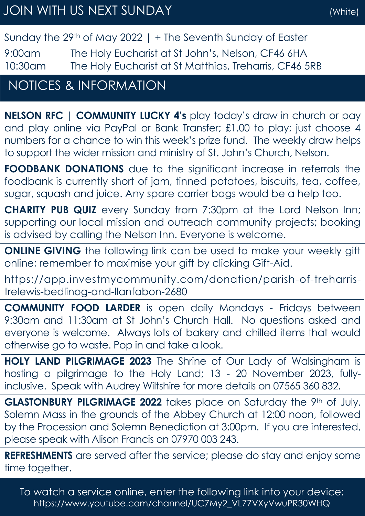#### Sunday the 29th of May 2022 | + The Seventh Sunday of Easter

9:00am The Holy Eucharist at St John's, Nelson, CF46 6HA 10:30am The Holy Eucharist at St Matthias, Treharris, CF46 5RB

### NOTICES & INFORMATION

**NELSON RFC | COMMUNITY LUCKY 4's** play today's draw in church or pay and play online via PayPal or Bank Transfer; £1.00 to play; just choose 4 numbers for a chance to win this week's prize fund. The weekly draw helps to support the wider mission and ministry of St. John's Church, Nelson.

**FOODBANK DONATIONS** due to the significant increase in referrals the foodbank is currently short of jam, tinned potatoes, biscuits, tea, coffee, sugar, squash and juice. Any spare carrier bags would be a help too.

**CHARITY PUB QUIZ** every Sunday from 7:30pm at the Lord Nelson Inn; supporting our local mission and outreach community projects; booking is advised by calling the Nelson Inn. Everyone is welcome.

**ONLINE GIVING** the following link can be used to make your weekly gift online; remember to maximise your gift by clicking Gift-Aid.

https://app.investmycommunity.com/donation/parish-of-treharristrelewis-bedlinog-and-llanfabon-2680

**COMMUNITY FOOD LARDER** is open daily Mondays - Fridays between 9:30am and 11:30am at St John's Church Hall. No questions asked and everyone is welcome. Always lots of bakery and chilled items that would otherwise go to waste. Pop in and take a look.

**HOLY LAND PILGRIMAGE 2023** The Shrine of Our Lady of Walsingham is hosting a pilgrimage to the Holy Land; 13 - 20 November 2023, fullyinclusive. Speak with Audrey Wiltshire for more details on 07565 360 832.

GLASTONBURY PILGRIMAGE 2022 takes place on Saturday the 9th of July. Solemn Mass in the grounds of the Abbey Church at 12:00 noon, followed by the Procession and Solemn Benediction at 3:00pm. If you are interested, please speak with Alison Francis on 07970 003 243.

**REFRESHMENTS** are served after the service; please do stay and enjoy some time together.

To watch a service online, enter the following link into your device: https://www.youtube.com/channel/UC7My2\_VL77VXyVwuPR30WHQ